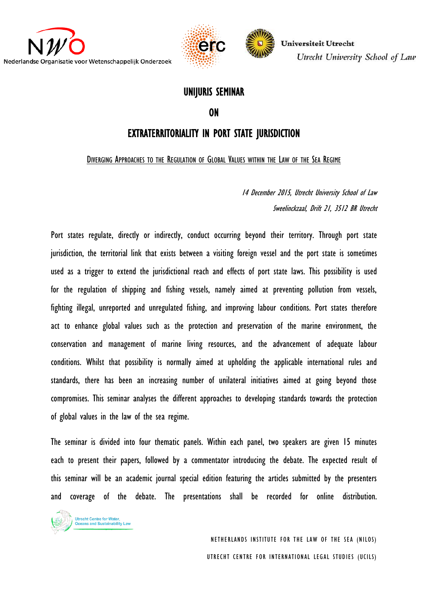



#### UNIJURIS SEMINAR

ON

## EXTRATERRITORIALITY IN PORT STATE JURISDICTION

DIVERGING APPROACHES TO THE REGULATION OF GLOBAL VALUES WITHIN THE LAW OF THE SEA REGIME

14 December 2015, Utrecht University School of Law Sweelinckzaal, Drift 21, 3512 BR Utrecht

Port states regulate, directly or indirectly, conduct occurring beyond their territory. Through port state jurisdiction, the territorial link that exists between a visiting foreign vessel and the port state is sometimes used as a trigger to extend the jurisdictional reach and effects of port state laws. This possibility is used for the regulation of shipping and fishing vessels, namely aimed at preventing pollution from vessels, fighting illegal, unreported and unregulated fishing, and improving labour conditions. Port states therefore act to enhance global values such as the protection and preservation of the marine environment, the conservation and management of marine living resources, and the advancement of adequate labour conditions. Whilst that possibility is normally aimed at upholding the applicable international rules and standards, there has been an increasing number of unilateral initiatives aimed at going beyond those compromises. This seminar analyses the different approaches to developing standards towards the protection of global values in the law of the sea regime.

The seminar is divided into four thematic panels. Within each panel, two speakers are given 15 minutes each to present their papers, followed by a commentator introducing the debate. The expected result of this seminar will be an academic journal special edition featuring the articles submitted by the presenters and coverage of the debate. The presentations shall be recorded for online distribution.



NETHERLANDS INSTITUTE FOR THE LAW OF THE SEA (NILOS) UTRECHT CENTRE FOR INTERNATIONAL LEGAL STUDIES (UCILS)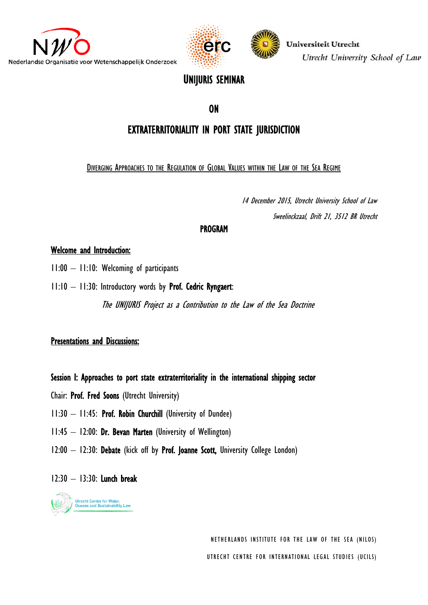





# UNIJURIS SEMINAR

## ON

# EXTRATERRITORIALITY IN PORT STATE JURISDICTION

#### DIVERGING APPROACHES TO THE REGULATION OF GLOBAL VALUES WITHIN THE LAW OF THE SEA REGIME

14 December 2015, Utrecht University School of Law Sweelinckzaal, Drift 21, 3512 BR Utrecht

### PROGRAM

#### Welcome and Introduction:

- 11:00 11:10: Welcoming of participants
- $11:10 11:30$ : Introductory words by **Prof. Cedric Ryngaert**:

The UNIJURIS Project as a Contribution to the Law of the Sea Doctrine

#### **Presentations and Discussions:**

#### Session I: Approaches to port state extraterritoriality in the international shipping sector

- Chair: Prof. Fred Soons (Utrecht University)
- 11:30 11:45: Prof. Robin Churchill (University of Dundee)
- 11:45 12:00: Dr. Bevan Marten (University of Wellington)
- 12:00 12:30: Debate (kick off by Prof. Joanne Scott, University College London)

#### 12:30 – 13:30: Lunch break



NETHERLANDS INSTITUTE FOR THE LAW OF THE SEA (NILOS) UTRECHT CENTRE FOR INTERNATIONAL LEGAL STUDIES (UCILS)